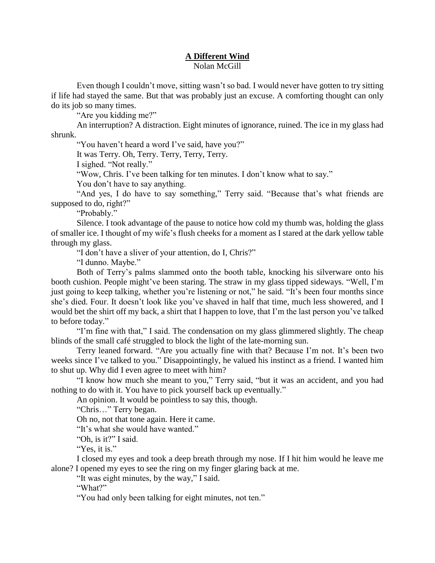## **A Different Wind** Nolan McGill

Even though I couldn't move, sitting wasn't so bad. I would never have gotten to try sitting if life had stayed the same. But that was probably just an excuse. A comforting thought can only do its job so many times.

"Are you kidding me?"

An interruption? A distraction. Eight minutes of ignorance, ruined. The ice in my glass had shrunk.

"You haven't heard a word I've said, have you?"

It was Terry. Oh, Terry. Terry, Terry, Terry.

I sighed. "Not really."

"Wow, Chris. I've been talking for ten minutes. I don't know what to say."

You don't have to say anything.

"And yes, I do have to say something," Terry said. "Because that's what friends are supposed to do, right?"

"Probably."

Silence. I took advantage of the pause to notice how cold my thumb was, holding the glass of smaller ice. I thought of my wife's flush cheeks for a moment as I stared at the dark yellow table through my glass.

"I don't have a sliver of your attention, do I, Chris?"

"I dunno. Maybe."

Both of Terry's palms slammed onto the booth table, knocking his silverware onto his booth cushion. People might've been staring. The straw in my glass tipped sideways. "Well, I'm just going to keep talking, whether you're listening or not," he said. "It's been four months since she's died. Four. It doesn't look like you've shaved in half that time, much less showered, and I would bet the shirt off my back, a shirt that I happen to love, that I'm the last person you've talked to before today."

"I'm fine with that," I said. The condensation on my glass glimmered slightly. The cheap blinds of the small café struggled to block the light of the late-morning sun.

Terry leaned forward. "Are you actually fine with that? Because I'm not. It's been two weeks since I've talked to you." Disappointingly, he valued his instinct as a friend. I wanted him to shut up. Why did I even agree to meet with him?

"I know how much she meant to you," Terry said, "but it was an accident, and you had nothing to do with it. You have to pick yourself back up eventually."

An opinion. It would be pointless to say this, though.

"Chris…" Terry began.

Oh no, not that tone again. Here it came.

"It's what she would have wanted."

"Oh, is it?" I said.

"Yes, it is."

I closed my eyes and took a deep breath through my nose. If I hit him would he leave me alone? I opened my eyes to see the ring on my finger glaring back at me.

"It was eight minutes, by the way," I said.

"What?"

"You had only been talking for eight minutes, not ten."